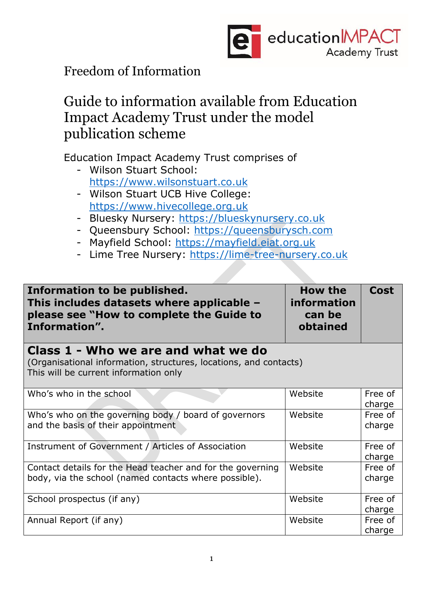

Freedom of Information

## Guide to information available from Education Impact Academy Trust under the model publication scheme

Education Impact Academy Trust comprises of

- Wilson Stuart School: [https://www.wilsonstuart.co.uk](https://www.wilsonstuart.co.uk/)
- Wilson Stuart UCB Hive College: [https://www.hivecollege.org.uk](https://www.hivecollege.org.uk/)
- Bluesky Nursery: [https://blueskynursery.co.uk](https://blueskynursery.co.uk/)
- Queensbury School: [https://queensburysch.com](https://queensburysch.com/)
- Mayfield School: [https://mayfield.eiat.org.uk](https://mayfield.eiat.org.uk/)
- Lime Tree Nursery: [https://lime-tree-nursery.co.uk](https://lime-tree-nursery.co.uk/)

| Information to be published.<br>This includes datasets where applicable $-$<br>please see "How to complete the Guide to<br>Information".          | <b>How the</b><br>information<br>can be<br>obtained | <b>Cost</b>       |
|---------------------------------------------------------------------------------------------------------------------------------------------------|-----------------------------------------------------|-------------------|
| Class 1 - Who we are and what we do<br>(Organisational information, structures, locations, and contacts)<br>This will be current information only |                                                     |                   |
| Who's who in the school                                                                                                                           | Website                                             | Free of<br>charge |
| Who's who on the governing body / board of governors<br>and the basis of their appointment                                                        | Website                                             | Free of<br>charge |
| Instrument of Government / Articles of Association                                                                                                | Website                                             | Free of<br>charge |
| Contact details for the Head teacher and for the governing<br>body, via the school (named contacts where possible).                               | Website                                             | Free of<br>charge |
| School prospectus (if any)                                                                                                                        | Website                                             | Free of<br>charge |
| Annual Report (if any)                                                                                                                            | Website                                             | Free of<br>charge |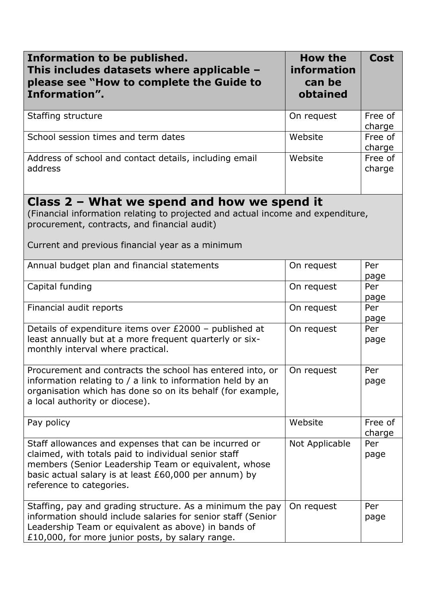| Information to be published.<br>This includes datasets where applicable -<br>please see "How to complete the Guide to<br>Information".                                                                                                                     | How the<br>information<br>can be<br>obtained | <b>Cost</b>       |
|------------------------------------------------------------------------------------------------------------------------------------------------------------------------------------------------------------------------------------------------------------|----------------------------------------------|-------------------|
| Staffing structure                                                                                                                                                                                                                                         | On request                                   | Free of<br>charge |
| School session times and term dates                                                                                                                                                                                                                        | Website                                      | Free of<br>charge |
| Address of school and contact details, including email<br>address                                                                                                                                                                                          | Website                                      | Free of<br>charge |
| Class $2$ – What we spend and how we spend it<br>(Financial information relating to projected and actual income and expenditure,<br>procurement, contracts, and financial audit)<br>Current and previous financial year as a minimum                       |                                              |                   |
| Annual budget plan and financial statements                                                                                                                                                                                                                | On request                                   | Per<br>page       |
| Capital funding                                                                                                                                                                                                                                            | On request                                   | Per<br>page       |
| Financial audit reports                                                                                                                                                                                                                                    | On request                                   | Per<br>page       |
| Details of expenditure items over £2000 - published at<br>least annually but at a more frequent quarterly or six-<br>monthly interval where practical.                                                                                                     | On request                                   | Per<br>page       |
| Procurement and contracts the school has entered into, or<br>information relating to / a link to information held by an<br>organisation which has done so on its behalf (for example,<br>a local authority or diocese).                                    | On request                                   | Per<br>page       |
| Pay policy                                                                                                                                                                                                                                                 | Website                                      | Free of<br>charge |
| Staff allowances and expenses that can be incurred or<br>claimed, with totals paid to individual senior staff<br>members (Senior Leadership Team or equivalent, whose<br>basic actual salary is at least £60,000 per annum) by<br>reference to categories. | Not Applicable                               | Per<br>page       |
| Staffing, pay and grading structure. As a minimum the pay<br>information should include salaries for senior staff (Senior<br>Leadership Team or equivalent as above) in bands of<br>£10,000, for more junior posts, by salary range.                       | On request                                   | Per<br>page       |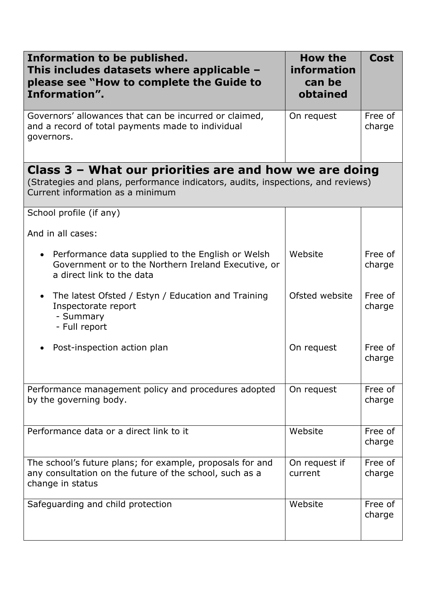| Information to be published.<br>This includes datasets where applicable -<br>please see "How to complete the Guide to<br>Information".                                           | <b>How the</b><br>information<br>can be<br>obtained | <b>Cost</b>       |
|----------------------------------------------------------------------------------------------------------------------------------------------------------------------------------|-----------------------------------------------------|-------------------|
| Governors' allowances that can be incurred or claimed,<br>and a record of total payments made to individual<br>governors.                                                        | On request                                          | Free of<br>charge |
| Class $3$ – What our priorities are and how we are doing<br>(Strategies and plans, performance indicators, audits, inspections, and reviews)<br>Current information as a minimum |                                                     |                   |
| School profile (if any)                                                                                                                                                          |                                                     |                   |
| And in all cases:                                                                                                                                                                |                                                     |                   |
| Performance data supplied to the English or Welsh<br>$\bullet$<br>Government or to the Northern Ireland Executive, or<br>a direct link to the data                               | Website                                             | Free of<br>charge |
| The latest Ofsted / Estyn / Education and Training<br>$\bullet$<br>Inspectorate report<br>- Summary<br>- Full report                                                             | Ofsted website                                      | Free of<br>charge |
| Post-inspection action plan                                                                                                                                                      | On request                                          | Free of<br>charge |
| Performance management policy and procedures adopted<br>by the governing body.                                                                                                   | On request                                          | Free of<br>charge |
| Performance data or a direct link to it                                                                                                                                          | Website                                             | Free of<br>charge |
| The school's future plans; for example, proposals for and<br>any consultation on the future of the school, such as a<br>change in status                                         | On request if<br>current                            | Free of<br>charge |
| Safeguarding and child protection                                                                                                                                                | Website                                             | Free of<br>charge |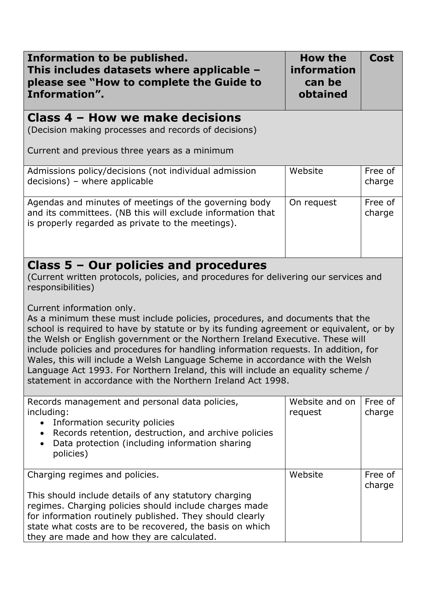| Information to be published.<br>This includes datasets where applicable -<br>please see "How to complete the Guide to<br>Information".                                                                                                                                                                                                                                                                                                                                                                                                                                            | <b>How the</b><br>information<br>can be<br>obtained | <b>Cost</b>       |
|-----------------------------------------------------------------------------------------------------------------------------------------------------------------------------------------------------------------------------------------------------------------------------------------------------------------------------------------------------------------------------------------------------------------------------------------------------------------------------------------------------------------------------------------------------------------------------------|-----------------------------------------------------|-------------------|
| Class 4 – How we make decisions<br>(Decision making processes and records of decisions)<br>Current and previous three years as a minimum                                                                                                                                                                                                                                                                                                                                                                                                                                          |                                                     |                   |
| Admissions policy/decisions (not individual admission<br>decisions) - where applicable                                                                                                                                                                                                                                                                                                                                                                                                                                                                                            | Website                                             | Free of<br>charge |
| Agendas and minutes of meetings of the governing body<br>and its committees. (NB this will exclude information that<br>is properly regarded as private to the meetings).                                                                                                                                                                                                                                                                                                                                                                                                          | On request                                          | Free of<br>charge |
| Class $5 -$ Our policies and procedures<br>(Current written protocols, policies, and procedures for delivering our services and<br>responsibilities)<br>Current information only.                                                                                                                                                                                                                                                                                                                                                                                                 |                                                     |                   |
| As a minimum these must include policies, procedures, and documents that the<br>school is required to have by statute or by its funding agreement or equivalent, or by<br>the Welsh or English government or the Northern Ireland Executive. These will<br>include policies and procedures for handling information requests. In addition, for<br>Wales, this will include a Welsh Language Scheme in accordance with the Welsh<br>Language Act 1993. For Northern Ireland, this will include an equality scheme /<br>statement in accordance with the Northern Ireland Act 1998. |                                                     |                   |
| Records management and personal data policies,<br>including:<br>Information security policies<br>$\bullet$<br>Records retention, destruction, and archive policies<br>$\bullet$<br>Data protection (including information sharing<br>$\bullet$<br>policies)                                                                                                                                                                                                                                                                                                                       | Website and on<br>request                           | Free of<br>charge |
| Charging regimes and policies.<br>This should include details of any statutory charging<br>regimes. Charging policies should include charges made<br>for information routinely published. They should clearly<br>state what costs are to be recovered, the basis on which<br>they are made and how they are calculated.                                                                                                                                                                                                                                                           | Website                                             | Free of<br>charge |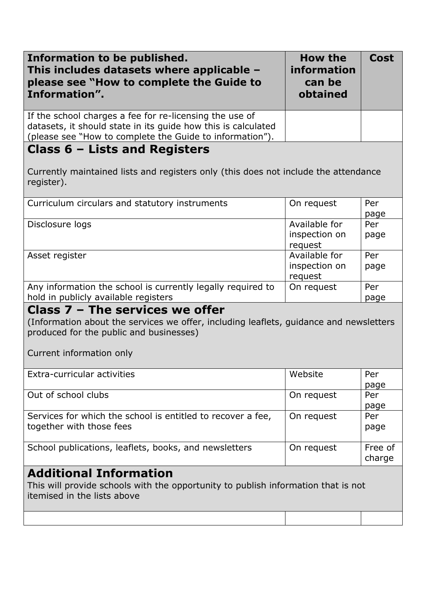| Information to be published.<br>This includes datasets where applicable $-$<br>please see "How to complete the Guide to<br>Information".                                                         | <b>How the</b><br>information<br>can be<br>obtained | <b>Cost</b>       |
|--------------------------------------------------------------------------------------------------------------------------------------------------------------------------------------------------|-----------------------------------------------------|-------------------|
| If the school charges a fee for re-licensing the use of<br>datasets, it should state in its guide how this is calculated<br>(please see "How to complete the Guide to information").             |                                                     |                   |
| Class $6$ – Lists and Registers                                                                                                                                                                  |                                                     |                   |
| Currently maintained lists and registers only (this does not include the attendance<br>register).                                                                                                |                                                     |                   |
| Curriculum circulars and statutory instruments                                                                                                                                                   | On request                                          | Per<br>page       |
| Disclosure logs                                                                                                                                                                                  | Available for<br>inspection on<br>request           | Per<br>page       |
| Asset register                                                                                                                                                                                   | Available for<br>inspection on<br>request           | Per<br>page       |
| Any information the school is currently legally required to<br>hold in publicly available registers                                                                                              | On request                                          | Per<br>page       |
| Class 7 - The services we offer<br>(Information about the services we offer, including leaflets, guidance and newsletters<br>produced for the public and businesses)<br>Current information only |                                                     |                   |
| Extra-curricular activities                                                                                                                                                                      | Website                                             | Per<br>page       |
| Out of school clubs                                                                                                                                                                              | On request                                          | Per<br>page       |
| Services for which the school is entitled to recover a fee,<br>together with those fees                                                                                                          | On request                                          | Per<br>page       |
| School publications, leaflets, books, and newsletters                                                                                                                                            | On request                                          | Free of<br>charge |
| <b>Additional Information</b><br>This will provide schools with the opportunity to publish information that is not<br>itemised in the lists above                                                |                                                     |                   |
|                                                                                                                                                                                                  |                                                     |                   |